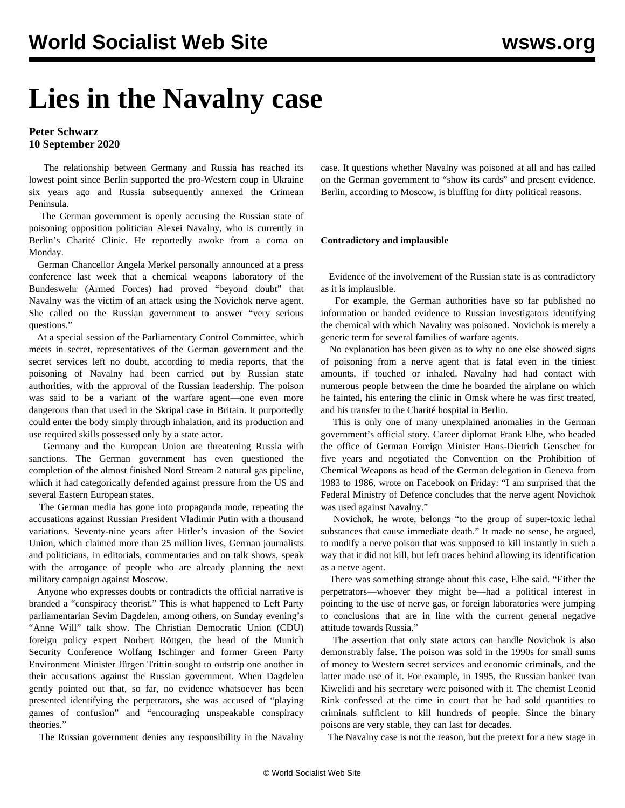## **Lies in the Navalny case**

## **Peter Schwarz 10 September 2020**

 The relationship between Germany and Russia has reached its lowest point since Berlin supported the pro-Western coup in Ukraine six years ago and Russia subsequently annexed the Crimean Peninsula.

 The German government is openly accusing the Russian state of poisoning opposition politician Alexei Navalny, who is currently in Berlin's Charité Clinic. He reportedly awoke from a coma on Monday.

 German Chancellor Angela Merkel personally announced at a press conference last week that a chemical weapons laboratory of the Bundeswehr (Armed Forces) had proved "beyond doubt" that Navalny was the victim of an attack using the Novichok nerve agent. She called on the Russian government to answer "very serious questions."

 At a special session of the Parliamentary Control Committee, which meets in secret, representatives of the German government and the secret services left no doubt, according to media reports, that the poisoning of Navalny had been carried out by Russian state authorities, with the approval of the Russian leadership. The poison was said to be a variant of the warfare agent—one even more dangerous than that used in the Skripal case in Britain. It purportedly could enter the body simply through inhalation, and its production and use required skills possessed only by a state actor.

 Germany and the European Union are threatening Russia with sanctions. The German government has even questioned the completion of the almost finished Nord Stream 2 natural gas pipeline, which it had categorically defended against pressure from the US and several Eastern European states.

 The German media has gone into propaganda mode, repeating the accusations against Russian President Vladimir Putin with a thousand variations. Seventy-nine years after Hitler's invasion of the Soviet Union, which claimed more than 25 million lives, German journalists and politicians, in editorials, commentaries and on talk shows, speak with the arrogance of people who are already planning the next military campaign against Moscow.

 Anyone who expresses doubts or contradicts the official narrative is branded a "conspiracy theorist." This is what happened to Left Party parliamentarian Sevim Dagdelen, among others, on Sunday evening's "Anne Will" talk show. The Christian Democratic Union (CDU) foreign policy expert Norbert Röttgen, the head of the Munich Security Conference Wolfang Ischinger and former Green Party Environment Minister Jürgen Trittin sought to outstrip one another in their accusations against the Russian government. When Dagdelen gently pointed out that, so far, no evidence whatsoever has been presented identifying the perpetrators, she was accused of "playing games of confusion" and "encouraging unspeakable conspiracy theories."

The Russian government denies any responsibility in the Navalny

case. It questions whether Navalny was poisoned at all and has called on the German government to "show its cards" and present evidence. Berlin, according to Moscow, is bluffing for dirty political reasons.

## **Contradictory and implausible**

 Evidence of the involvement of the Russian state is as contradictory as it is implausible.

 For example, the German authorities have so far published no information or handed evidence to Russian investigators identifying the chemical with which Navalny was poisoned. Novichok is merely a generic term for several families of warfare agents.

 No explanation has been given as to why no one else showed signs of poisoning from a nerve agent that is fatal even in the tiniest amounts, if touched or inhaled. Navalny had had contact with numerous people between the time he boarded the airplane on which he fainted, his entering the clinic in Omsk where he was first treated, and his transfer to the Charité hospital in Berlin.

 This is only one of many unexplained anomalies in the German government's official story. Career diplomat Frank Elbe, who headed the office of German Foreign Minister Hans-Dietrich Genscher for five years and negotiated the Convention on the Prohibition of Chemical Weapons as head of the German delegation in Geneva from 1983 to 1986, wrote on Facebook on Friday: "I am surprised that the Federal Ministry of Defence concludes that the nerve agent Novichok was used against Navalny."

 Novichok, he wrote, belongs "to the group of super-toxic lethal substances that cause immediate death." It made no sense, he argued, to modify a nerve poison that was supposed to kill instantly in such a way that it did not kill, but left traces behind allowing its identification as a nerve agent.

 There was something strange about this case, Elbe said. "Either the perpetrators—whoever they might be—had a political interest in pointing to the use of nerve gas, or foreign laboratories were jumping to conclusions that are in line with the current general negative attitude towards Russia."

 The assertion that only state actors can handle Novichok is also demonstrably false. The poison was sold in the 1990s for small sums of money to Western secret services and economic criminals, and the latter made use of it. For example, in 1995, the Russian banker Ivan Kiwelidi and his secretary were poisoned with it. The chemist Leonid Rink confessed at the time in court that he had sold quantities to criminals sufficient to kill hundreds of people. Since the binary poisons are very stable, they can last for decades.

The Navalny case is not the reason, but the pretext for a new stage in